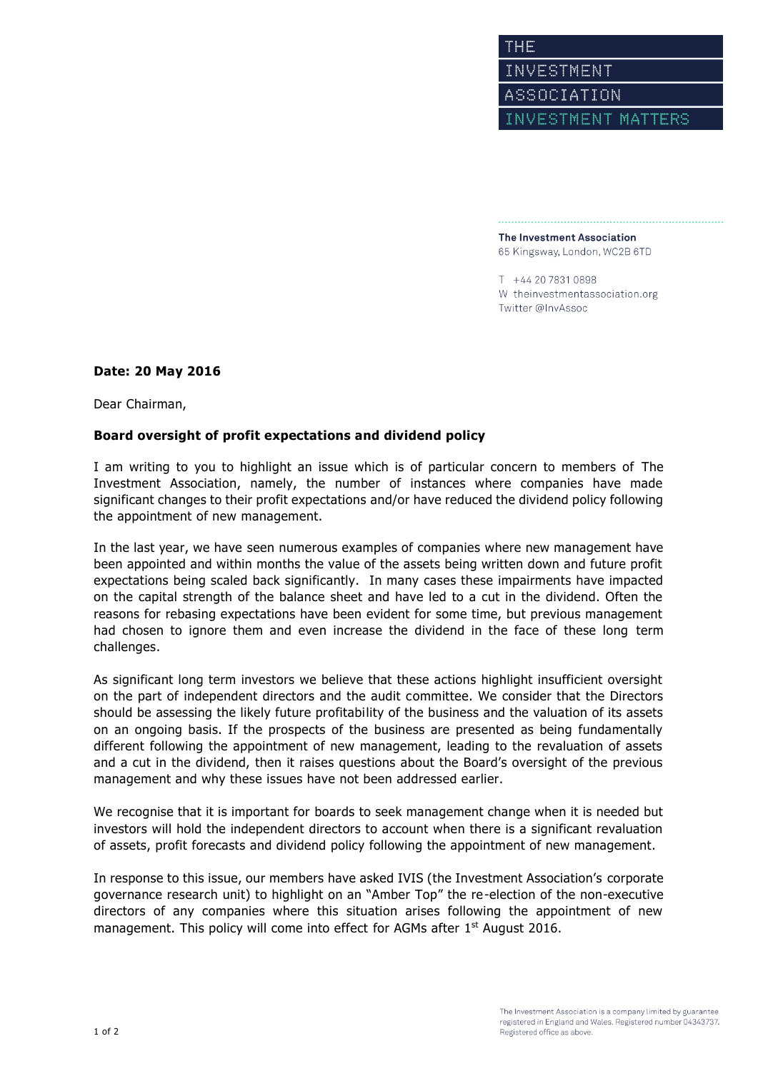The Investment Association 65 Kingsway, London, WC2B 6TD

T +44 20 7831 0898 W theinvestmentassociation.org Twitter @InvAssoc

## **Date: 20 May 2016**

Dear Chairman,

## **Board oversight of profit expectations and dividend policy**

I am writing to you to highlight an issue which is of particular concern to members of The Investment Association, namely, the number of instances where companies have made significant changes to their profit expectations and/or have reduced the dividend policy following the appointment of new management.

In the last year, we have seen numerous examples of companies where new management have been appointed and within months the value of the assets being written down and future profit expectations being scaled back significantly. In many cases these impairments have impacted on the capital strength of the balance sheet and have led to a cut in the dividend. Often the reasons for rebasing expectations have been evident for some time, but previous management had chosen to ignore them and even increase the dividend in the face of these long term challenges.

As significant long term investors we believe that these actions highlight insufficient oversight on the part of independent directors and the audit committee. We consider that the Directors should be assessing the likely future profitability of the business and the valuation of its assets on an ongoing basis. If the prospects of the business are presented as being fundamentally different following the appointment of new management, leading to the revaluation of assets and a cut in the dividend, then it raises questions about the Board's oversight of the previous management and why these issues have not been addressed earlier.

We recognise that it is important for boards to seek management change when it is needed but investors will hold the independent directors to account when there is a significant revaluation of assets, profit forecasts and dividend policy following the appointment of new management.

In response to this issue, our members have asked IVIS (the Investment Association's corporate governance research unit) to highlight on an "Amber Top" the re-election of the non-executive directors of any companies where this situation arises following the appointment of new management. This policy will come into effect for AGMs after 1<sup>st</sup> August 2016.